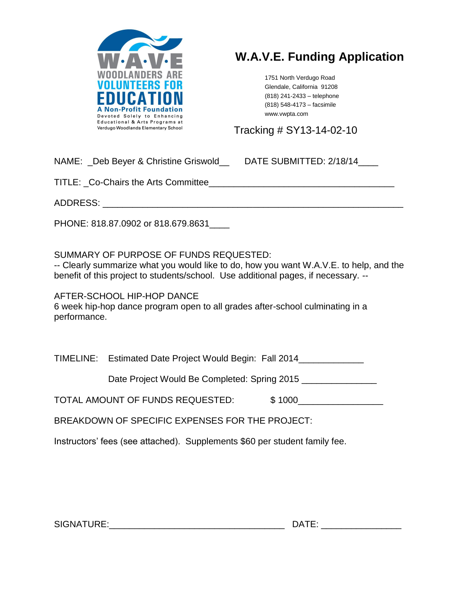

# **W.A.V.E. Funding Application**

1751 North Verdugo Road Glendale, California 91208 (818) 241-2433 – telephone (818) 548-4173 – facsimile www.vwpta.com

Tracking # SY13-14-02-10

NAME: Deb Beyer & Christine Griswold DATE SUBMITTED: 2/18/14

TITLE: Co-Chairs the Arts Committee

ADDRESS: \_\_\_\_\_\_\_\_\_\_\_\_\_\_\_\_\_\_\_\_\_\_\_\_\_\_\_\_\_\_\_\_\_\_\_\_\_\_\_\_\_\_\_\_\_\_\_\_\_\_\_\_\_\_\_\_\_\_\_\_

PHONE: 818.87.0902 or 818.679.8631\_\_\_\_

SUMMARY OF PURPOSE OF FUNDS REQUESTED:

-- Clearly summarize what you would like to do, how you want W.A.V.E. to help, and the benefit of this project to students/school. Use additional pages, if necessary. --

AFTER-SCHOOL HIP-HOP DANCE 6 week hip-hop dance program open to all grades after-school culminating in a performance.

TIMELINE: Estimated Date Project Would Begin: Fall 2014\_\_\_\_\_\_\_\_\_\_\_\_\_

Date Project Would Be Completed: Spring 2015

TOTAL AMOUNT OF FUNDS REQUESTED: \$1000

BREAKDOWN OF SPECIFIC EXPENSES FOR THE PROJECT:

Instructors' fees (see attached). Supplements \$60 per student family fee.